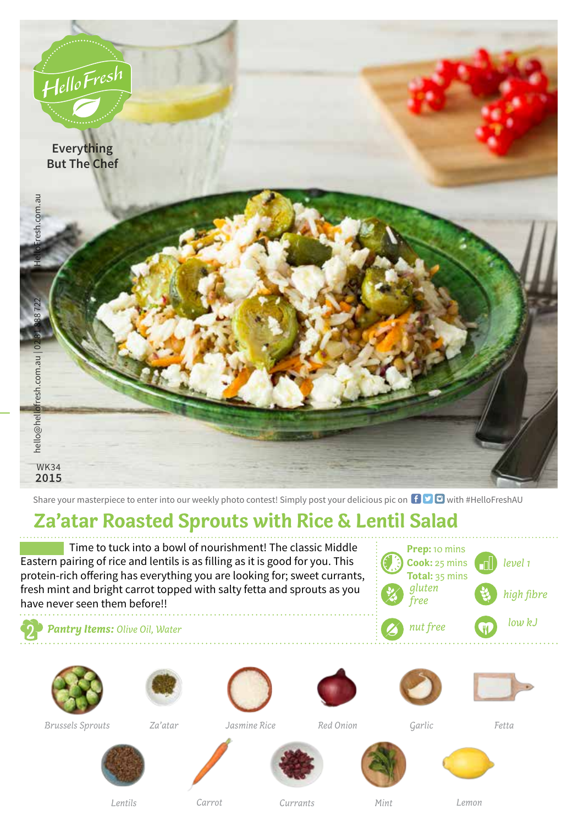

Share your masterpiece to enter into our weekly photo contest! Simply post your delicious pic on  $\bigoplus$   $\bigoplus$  with #HelloFreshAU

## **Za'atar Roasted Sprouts with Rice & Lentil Salad**

Time to tuck into a bowl of nourishment! The classic Middle Eastern pairing of rice and lentils is as filling as it is good for you. This protein-rich offering has everything you are looking for; sweet currants, fresh mint and bright carrot topped with salty fetta and sprouts as you have never seen them before!!

*level 1* **Prep:** 10 mins **Cook:** 25 mins **Total:** 35 mins *gluten free high fibre nut free low kJ*

*Pantry Items: Olive Oil, Water*





*Brussels Sprouts Za'atar Jasmine Rice*











*Red Onion Garlic Fetta*



*Lentils*







*Carrot Lemon*

*Currants Mint*